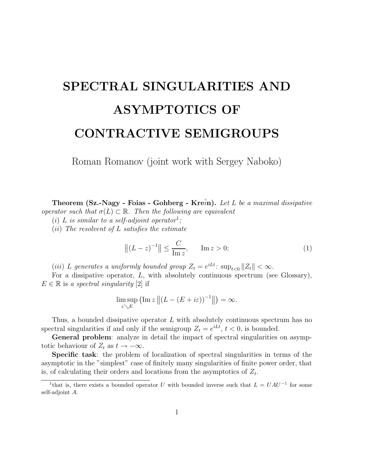# SPECTRAL SINGULARITIES AND ASYMPTOTICS OF CONTRACTIVE SEMIGROUPS

Roman Romanov (joint work with Sergey Naboko)

Theorem  $(Sz-Nagy - Foias - Gohberg - Krein)$ . Let L be a maximal dissipative operator such that  $\sigma(L) \subset \mathbb{R}$ . Then the following are equivalent

(i) L is similar to a self-adjoint operator<sup>1</sup>;

 $(ii)$  The resolvent of L satisfies the estimate

$$
||(L - z)^{-1}|| \le \frac{C}{\text{Im } z}, \qquad \text{Im } z > 0;
$$
 (1)

(iii) L generates a uniformly bounded group  $Z_t = e^{iLt}$ :  $\sup_{t<0} ||Z_t|| < \infty$ .

For a dissipative operator,  $L$ , with absolutely continuous spectrum (see Glossary),  $E \in \mathbb{R}$  is a spectral singularity [2] if

$$
\limsup_{z \searrow E} \left( \operatorname{Im} z \left\| (L - (E + i\varepsilon))^{-1} \right\| \right) = \infty.
$$

Thus, a bounded dissipative operator L with absolutely continuous spectrum has no spectral singularities if and only if the semigroup  $Z_t = e^{iLt}$ ,  $t < 0$ , is bounded.

General problem: analyze in detail the impact of spectral singularities on asymptotic behaviour of  $Z_t$  as  $t \to -\infty$ .

Specific task: the problem of localization of spectral singularities in terms of the asymptotic in the "simplest" case of finitely many singularities of finite power order, that is, of calculating their orders and locations from the asymptotics of  $Z_t$ .

<sup>&</sup>lt;sup>1</sup>that is, there exists a bounded operator U with bounded inverse such that  $L = UAU^{-1}$  for some self-adjoint A.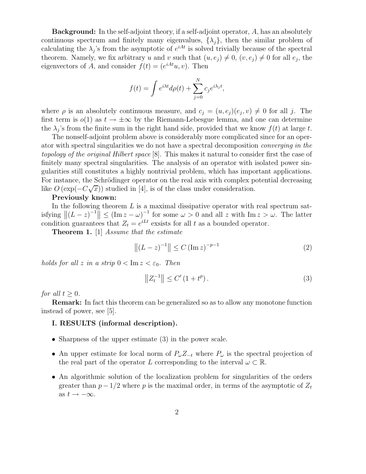Background: In the self-adjoint theory, if a self-adjoint operator, A, has an absolutely continuous spectrum and finitely many eigenvalues,  $\{\lambda_j\}$ , then the similar problem of calculating the  $\lambda_j$ 's from the asymptotic of  $e^{iAt}$  is solved trivially because of the spectral theorem. Namely, we fix arbitrary u and v such that  $(u, e_j) \neq 0$ ,  $(v, e_j) \neq 0$  for all  $e_j$ , the eigenvectors of A, and consider  $f(t) = (e^{iAt}u, v)$ . Then

$$
f(t) = \int e^{i\lambda t} d\rho(t) + \sum_{j=0}^{N} c_j e^{i\lambda_j t},
$$

where  $\rho$  is an absolutely continuous measure, and  $c_j = (u, e_j)(e_j, v) \neq 0$  for all j. The first term is  $o(1)$  as  $t \to \pm \infty$  by the Riemann-Lebesgue lemma, and one can determine the  $\lambda_j$ 's from the finite sum in the right hand side, provided that we know  $f(t)$  at large t.

The nonself-adjoint problem above is considerably more complicated since for an operator with spectral singularities we do not have a spectral decomposition converging in the topology of the original Hilbert space [8]. This makes it natural to consider first the case of finitely many spectral singularities. The analysis of an operator with isolated power singularities still constitutes a highly nontrivial problem, which has important applications. For instance, the Schrödinger operator on the real axis with complex potential decreasing like  $O\left(\exp(-C\sqrt{x})\right)$  studied in [4], is of the class under consideration.

### Previously known:

In the following theorem  $L$  is a maximal dissipative operator with real spectrum satisfying  $||(L-z)^{-1}|| \leq (Im z - \omega)^{-1}$  for some  $\omega > 0$  and all z with  $Im z > \omega$ . The latter condition guarantees that  $Z_t = e^{iLt}$  exsists for all t as a bounded operator.

Theorem 1. [1] Assume that the estimate

$$
||(L - z)^{-1}|| \le C (\operatorname{Im} z)^{-p-1}
$$
 (2)

holds for all z in a strip  $0 < \text{Im } z < \varepsilon_0$ . Then

$$
||Z_t^{-1}|| \le C' (1 + t^p). \tag{3}
$$

for all  $t > 0$ .

Remark: In fact this theorem can be generalized so as to allow any monotone function instead of power, see [5].

#### I. RESULTS (informal description).

- Sharpness of the upper estimate (3) in the power scale.
- An upper estimate for local norm of  $P_{\omega}Z_{-t}$  where  $P_{\omega}$  is the spectral projection of the real part of the operator L corresponding to the interval  $\omega \subset \mathbb{R}$ .
- An algorithmic solution of the localization problem for singularities of the orders greater than  $p - 1/2$  where p is the maximal order, in terms of the asymptotic of  $Z_t$ as  $t \rightarrow -\infty$ .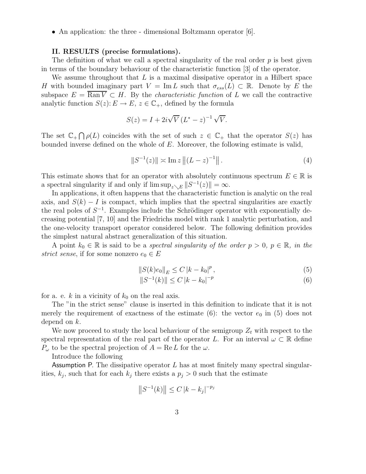• An application: the three - dimensional Boltzmann operator [6].

#### II. RESULTS (precise formulations).

The definition of what we call a spectral singularity of the real order  $p$  is best given in terms of the boundary behaviour of the characteristic function [3] of the operator.

We assume throughout that  $L$  is a maximal dissipative operator in a Hilbert space H with bounded imaginary part  $V = \text{Im } L$  such that  $\sigma_{ess}(L) \subset \mathbb{R}$ . Denote by E the subspace  $E = \overline{\text{Ran }V} \subset H$ . By the *characteristic function* of L we call the contractive analytic function  $S(z)$ :  $E \to E$ ,  $z \in \mathbb{C}_+$ , defined by the formula

$$
S(z) = I + 2i\sqrt{V} (L^* - z)^{-1} \sqrt{V}.
$$

The set  $\mathbb{C}_+ \bigcap \rho(L)$  coincides with the set of such  $z \in \mathbb{C}_+$  that the operator  $S(z)$  has bounded inverse defined on the whole of E. Moreover, the following estimate is valid,

$$
||S^{-1}(z)|| \approx \text{Im}\, z \, ||(L-z)^{-1}|| \,.
$$
 (4)

This estimate shows that for an operator with absolutely continuous spectrum  $E \in \mathbb{R}$  is a spectral singularity if and only if  $\limsup_{z\setminus E} ||S^{-1}(z)|| = \infty$ .

In applications, it often happens that the characteristic function is analytic on the real axis, and  $S(k) - I$  is compact, which implies that the spectral singularities are exactly the real poles of  $S^{-1}$ . Examples include the Schrödinger operator with exponentially decreasing potential [7, 10] and the Friedrichs model with rank 1 analytic perturbation, and the one-velocity transport operator considered below. The following definition provides the simplest natural abstract generalization of this situation.

A point  $k_0 \in \mathbb{R}$  is said to be a *spectral singularity of the order*  $p > 0$ ,  $p \in \mathbb{R}$ , in the strict sense, if for some nonzero  $e_0 \in E$ 

$$
||S(k)e_0||_E \le C |k - k_0|^p, \qquad (5)
$$

$$
||S^{-1}(k)|| \le C |k - k_0|^{-p}
$$
\n(6)

for a. e. k in a vicinity of  $k_0$  on the real axis.

The "in the strict sense" clause is inserted in this definition to indicate that it is not merely the requirement of exactness of the estimate (6): the vector  $e_0$  in (5) does not depend on k.

We now proceed to study the local behaviour of the semigroup  $Z_t$  with respect to the spectral representation of the real part of the operator L. For an interval  $\omega \subset \mathbb{R}$  define  $P_{\omega}$  to be the spectral projection of  $A = \text{Re } L$  for the  $\omega$ .

Introduce the following

Assumption P. The dissipative operator  $L$  has at most finitely many spectral singularities,  $k_j$ , such that for each  $k_j$  there exists a  $p_j > 0$  such that the estimate

$$
||S^{-1}(k)|| \le C |k - k_j|^{-p_j}
$$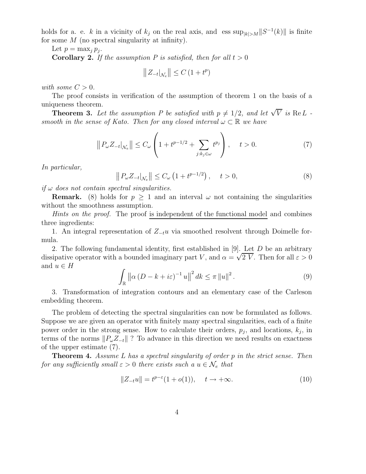holds for a. e. k in a vicinity of  $k_j$  on the real axis, and ess  $\sup_{|k|>M} ||S^{-1}(k)||$  is finite for some  $M$  (no spectral singularity at infinity).

Let  $p = \max_j p_j$ .

**Corollary 2.** If the assumption P is satisfied, then for all  $t > 0$ 

$$
\left\| Z_{-t} \right|_{\mathcal{N}_e} \left\| \leq C \left( 1 + t^p \right) \right\|
$$

with some  $C > 0$ .

The proof consists in verification of the assumption of theorem 1 on the basis of a uniqueness theorem.

**Theorem 3.** Let the assumption P be satisfied with  $p \neq 1/2$ , and let  $\sqrt{V}$  is ReL smooth in the sense of Kato. Then for any closed interval  $\omega \subset \mathbb{R}$  we have

$$
\left\|P_{\omega}Z_{-t}\right|_{\mathcal{N}_e}\right\| \le C_{\omega}\left(1 + t^{p-1/2} + \sum_{j:k_j\in\omega}t^{p_j}\right), \quad t > 0.
$$
 (7)

In particular,

$$
\left\|P_{\omega}Z_{-t}\right|_{\mathcal{N}_e}\right\| \le C_{\omega}\left(1+t^{p-1/2}\right), \quad t > 0,
$$
\n
$$
(8)
$$

if  $\omega$  does not contain spectral singularities.

**Remark.** (8) holds for  $p \ge 1$  and an interval  $\omega$  not containing the singularities without the smoothness assumption.

Hints on the proof. The proof is independent of the functional model and combines three ingredients:

1. An integral representation of  $Z_{-t}u$  via smoothed resolvent through Doimelle formula.

2. The following fundamental identity, first established in [9]. Let D be an arbitrary dissipative operator with a bounded imaginary part V, and  $\alpha = \sqrt{2} \text{ V}$ . Then for all  $\varepsilon > 0$ and  $u \in H$ 

$$
\int_{\mathbb{R}} \left\| \alpha \left( D - k + i\varepsilon \right)^{-1} u \right\|^2 dk \le \pi \left\| u \right\|^2. \tag{9}
$$

3. Transformation of integration contours and an elementary case of the Carleson embedding theorem.

The problem of detecting the spectral singularities can now be formulated as follows. Suppose we are given an operator with finitely many spectral singularities, each of a finite power order in the strong sense. How to calculate their orders,  $p_j$ , and locations,  $k_j$ , in terms of the norms  $||P_{\omega}Z_{-t}||$  ? To advance in this direction we need results on exactness of the upper estimate (7).

**Theorem 4.** Assume L has a spectral singularity of order p in the strict sense. Then for any sufficiently small  $\varepsilon > 0$  there exists such a  $u \in \mathcal{N}_e$  that

$$
||Z_{-t}u|| = t^{p-\varepsilon}(1+o(1)), \quad t \to +\infty.
$$
 (10)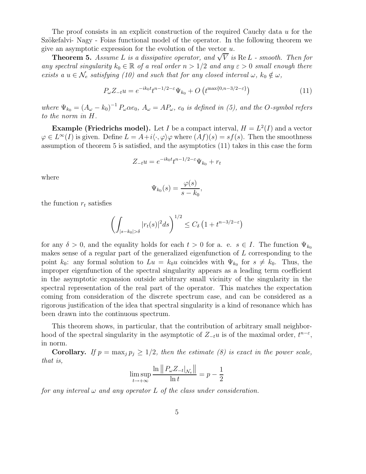The proof consists in an explicit construction of the required Cauchy data u for the Szökefalvi- Nagy - Foias functional model of the operator. In the following theorem we give an asymptotic expression for the evolution of the vector  $u$ .

**Theorem 5.** Assume L is a dissipative operator, and  $\sqrt{V}$  is  $\text{Re } L$  - smooth. Then for any spectral singularity  $k_0 \in \mathbb{R}$  of a real order  $n > 1/2$  and any  $\varepsilon > 0$  small enough there exists a  $u \in \mathcal{N}_e$  satisfying (10) and such that for any closed interval  $\omega$ ,  $k_0 \notin \omega$ ,

$$
P_{\omega}Z_{-t}u = e^{-ik_0t}t^{n-1/2-\varepsilon}\Psi_{k_0} + O\left(t^{\max\{0, n-3/2-\varepsilon\}}\right)
$$
\n(11)

where  $\Psi_{k_0} = (A_{\omega} - k_0)^{-1} P_{\omega} \alpha e_0$ ,  $A_{\omega} = AP_{\omega}$ ,  $e_0$  is defined in (5), and the O-symbol refers to the norm in H.

**Example (Friedrichs model).** Let I be a compact interval,  $H = L^2(I)$  and a vector  $\varphi \in L^{\infty}(I)$  is given. Define  $L = A + i\langle \cdot, \varphi \rangle \varphi$  where  $(Af)(s) = sf(s)$ . Then the smoothness assumption of theorem 5 is satisfied, and the asymptotics (11) takes in this case the form

$$
Z_{-t}u = e^{-ik_0t}t^{n-1/2-\varepsilon}\Psi_{k_0} + r_t
$$

where

$$
\Psi_{k_0}(s) = \frac{\varphi(s)}{s - k_0},
$$

the function  $r_t$  satisfies

$$
\left(\int_{|s-k_0|>\delta}|r_t(s)|^2ds\right)^{1/2}\leq C_\delta\left(1+t^{n-3/2-\varepsilon}\right)
$$

for any  $\delta > 0$ , and the equality holds for each  $t > 0$  for a. e.  $s \in I$ . The function  $\Psi_{k_0}$ makes sense of a regular part of the generalized eigenfunction of L corresponding to the point  $k_0$ : any formal solution to  $Lu = k_0u$  coincides with  $\Psi_{k_0}$  for  $s \neq k_0$ . Thus, the improper eigenfunction of the spectral singularity appears as a leading term coefficient in the asymptotic expansion outside arbitrary small vicinity of the singularity in the spectral representation of the real part of the operator. This matches the expectation coming from consideration of the discrete spectrum case, and can be considered as a rigorous justification of the idea that spectral singularity is a kind of resonance which has been drawn into the continuous spectrum.

This theorem shows, in particular, that the contribution of arbitrary small neighborhood of the spectral singularity in the asymptotic of  $Z_{-t}u$  is of the maximal order,  $t^{n-\varepsilon}$ , in norm.

**Corollary.** If  $p = \max_j p_j \ge 1/2$ , then the estimate (8) is exact in the power scale, that is,

$$
\limsup_{t \to +\infty} \frac{\ln \|P_{\omega} Z_{-t}|_{\mathcal{N}_e}\|}{\ln t} = p - \frac{1}{2}
$$

for any interval  $\omega$  and any operator L of the class under consideration.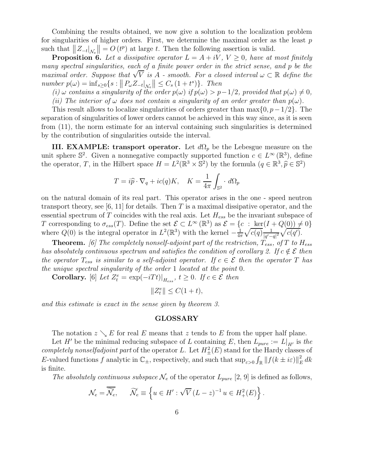Combining the results obtained, we now give a solution to the localization problem for singularities of higher orders. First, we determine the maximal order as the least  $p$ such that  $||Z_{-t}|_{\mathcal{N}_e}|| = O(t^p)$  at large t. Then the following assertion is valid.

**Proposition 6.** Let a dissipative operator  $L = A + iV$ ,  $V \geq 0$ , have at most finitely many spectral singularities, each of a finite power order in the strict sense, and p be the maximal order. Suppose that  $\sqrt{V}$  is A - smooth. For a closed interval  $\omega \subset \mathbb{R}$  define the number  $p(\omega) = \inf_{s \geq 0} \{ s : ||P_{\omega} Z_{-t}|_{\mathcal{N}_e} || \leq C_s (1+t^s) \}.$  Then

(i)  $\omega$  contains a singularity of the order  $p(\omega)$  if  $p(\omega) > p-1/2$ , provided that  $p(\omega) \neq 0$ ,

(ii) The interior of  $\omega$  does not contain a singularity of an order greater than  $p(\omega)$ .

This result allows to localize singularities of orders greater than  $\max\{0, p-1/2\}$ . The separation of singularities of lower orders cannot be achieved in this way since, as it is seen from (11), the norm estimate for an interval containing such singularities is determined by the contribution of singularities outside the interval.

III. EXAMPLE: transport operator. Let  $d\Omega_p$  be the Lebesgue measure on the unit sphere  $\mathbb{S}^2$ . Given a nonnegative compactly supported function  $c \in L^{\infty}(\mathbb{R}^3)$ , define the operator, T, in the Hilbert space  $H = L^2(\mathbb{R}^3 \times \mathbb{S}^2)$  by the formula  $(q \in \mathbb{R}^3, \hat{p} \in \mathbb{S}^2)$ 

$$
T = i\widehat{p} \cdot \nabla_q + ic(q)K, \quad K = \frac{1}{4\pi} \int_{\mathbb{S}^2} \cdot d\Omega_p
$$

on the natural domain of its real part. This operator arises in the one - speed neutron transport theory, see [6, 11] for details. Then T is a maximal dissipative operator, and the essential spectrum of T coincides with the real axis. Let  $H_{ess}$  be the invariant subspace of T corresponding to  $\sigma_{ess}(T)$ . Define the set  $\mathcal{E} \subset L^{\infty}(\mathbb{R}^3)$  as  $\mathcal{E} = \{c : \text{ker}(I + Q(0)) \neq 0\}$ where  $Q(0)$  is the integral operator in  $L^2(\mathbb{R}^3)$  with the kernel  $-\frac{1}{4n}$  $rac{1}{4\pi}\sqrt{c(q)}\frac{1}{|q'|}$  $\frac{1}{|q'-q|^2}\sqrt{c(q')}$ .

**Theorem.** [6] The completely nonself-adjoint part of the restriction,  $T_{ess}$ , of T to  $H_{ess}$ has absolutely continuous spectrum and satisfies the condition of corollary 2. If  $c \notin \mathcal{E}$  then the operator  $T_{ess}$  is similar to a self-adjoint operator. If  $c \in \mathcal{E}$  then the operator T has the unique spectral singularity of the order 1 located at the point 0.

**Corollary.** [6] Let  $Z_t^e = \exp(-iTt)|_{H_{ess}}$ ,  $t \ge 0$ . If  $c \in \mathcal{E}$  then

 $||Z_t^e|| \leq C(1+t),$ 

and this estimate is exact in the sense given by theorem 3.

#### GLOSSARY

The notation  $z \searrow E$  for real E means that z tends to E from the upper half plane.

Let H' be the minimal reducing subspace of L containing E, then  $L_{pure} := L|_{H'}$  is the completely nonselfadjoint part of the operator L. Let  $H^2_{\pm}(E)$  stand for the Hardy classes of E-valued functions f analytic in  $\mathbb{C}_{\pm}$ , respectively, and such that  $\sup_{\varepsilon>0} \int_{\mathbb{R}} ||f(k \pm i\varepsilon)||_F^2$  $_{E}^{2}$  dk is finite.

The absolutely continuous subspace  $\mathcal{N}_e$  of the operator  $L_{pure}$  [2, 9] is defined as follows,

$$
\mathcal{N}_e = \overline{\widetilde{\mathcal{N}}_e}, \qquad \widetilde{\mathcal{N}}_e \equiv \left\{ u \in H' : \sqrt{V} \left( L - z \right)^{-1} u \in H^2_+(E) \right\}.
$$